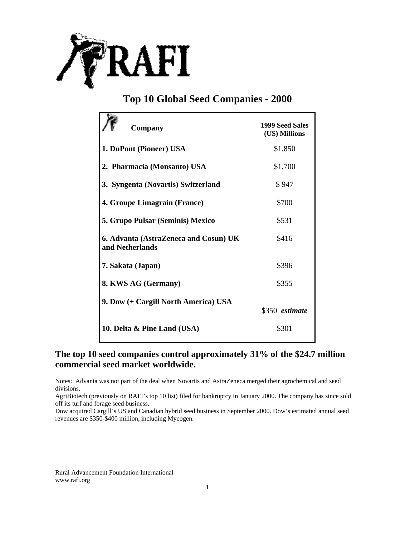

## **Top 10 Global Seed Companies - 2000**

| Company                                                  | 1999 Seed Sales<br>(US) Millions |
|----------------------------------------------------------|----------------------------------|
| 1. DuPont (Pioneer) USA                                  | \$1,850                          |
| 2. Pharmacia (Monsanto) USA                              | \$1,700                          |
| 3. Syngenta (Novartis) Switzerland                       | \$947                            |
| 4. Groupe Limagrain (France)                             | \$700                            |
| 5. Grupo Pulsar (Seminis) Mexico                         | \$531                            |
| 6. Advanta (AstraZeneca and Cosun) UK<br>and Netherlands | \$416                            |
| 7. Sakata (Japan)                                        | \$396                            |
| 8. KWS AG (Germany)                                      | \$355                            |
| 9. Dow (+ Cargill North America) USA                     | \$350 estimate                   |
| 10. Delta & Pine Land (USA)                              | \$301                            |

## **The top 10 seed companies control approximately 31% of the \$24.7 million commercial seed market worldwide.**

Notes: Advanta was not part of the deal when Novartis and AstraZeneca merged their agrochemical and seed divisions.

AgriBiotech (previously on RAFI's top 10 list) filed for bankruptcy in January 2000. The company has since sold off its turf and forage seed business.

Dow acquired Cargill's US and Canadian hybrid seed business in September 2000. Dow's estimated annual seed revenues are \$350-\$400 million, including Mycogen.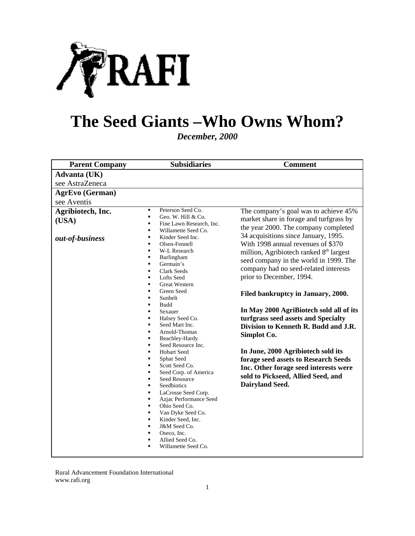

# **The Seed Giants –Who Owns Whom?**

*December, 2000*

| <b>Parent Company</b>                         | <b>Subsidiaries</b>                                                                                                                                                                                                                                                                                                                                                                                                                                                                                                                                                                                                                                                                                                                                                                                                                                                                                                                                                 | <b>Comment</b>                                                                                                                                                                                                                                                                                                                                                                                                                                                                                                                                                                                                                                                                                                                              |
|-----------------------------------------------|---------------------------------------------------------------------------------------------------------------------------------------------------------------------------------------------------------------------------------------------------------------------------------------------------------------------------------------------------------------------------------------------------------------------------------------------------------------------------------------------------------------------------------------------------------------------------------------------------------------------------------------------------------------------------------------------------------------------------------------------------------------------------------------------------------------------------------------------------------------------------------------------------------------------------------------------------------------------|---------------------------------------------------------------------------------------------------------------------------------------------------------------------------------------------------------------------------------------------------------------------------------------------------------------------------------------------------------------------------------------------------------------------------------------------------------------------------------------------------------------------------------------------------------------------------------------------------------------------------------------------------------------------------------------------------------------------------------------------|
| Advanta (UK)                                  |                                                                                                                                                                                                                                                                                                                                                                                                                                                                                                                                                                                                                                                                                                                                                                                                                                                                                                                                                                     |                                                                                                                                                                                                                                                                                                                                                                                                                                                                                                                                                                                                                                                                                                                                             |
| see AstraZeneca                               |                                                                                                                                                                                                                                                                                                                                                                                                                                                                                                                                                                                                                                                                                                                                                                                                                                                                                                                                                                     |                                                                                                                                                                                                                                                                                                                                                                                                                                                                                                                                                                                                                                                                                                                                             |
| <b>AgrEvo</b> (German)                        |                                                                                                                                                                                                                                                                                                                                                                                                                                                                                                                                                                                                                                                                                                                                                                                                                                                                                                                                                                     |                                                                                                                                                                                                                                                                                                                                                                                                                                                                                                                                                                                                                                                                                                                                             |
| see Aventis                                   |                                                                                                                                                                                                                                                                                                                                                                                                                                                                                                                                                                                                                                                                                                                                                                                                                                                                                                                                                                     |                                                                                                                                                                                                                                                                                                                                                                                                                                                                                                                                                                                                                                                                                                                                             |
| Agribiotech, Inc.<br>(USA)<br>out-of-business | Peterson Seed Co.<br>٠<br>$\blacksquare$<br>Geo. W. Hill & Co.<br>Ξ<br>Fine Lawn Research, Inc.<br>$\blacksquare$<br>Willamette Seed Co.<br>Kinder Seed Inc.<br>$\blacksquare$<br>Olsen-Fennell<br>٠<br>W-L Research<br>٠<br>Ξ<br>Burlingham<br>Germain's<br>Ξ<br><b>Clark Seeds</b><br>٠<br><b>Lofts</b> Seed<br>٠<br><b>Great Western</b><br>٠<br>Green Seed<br>Ξ<br>Sunbelt<br>٠<br>Budd<br>$\blacksquare$<br>$\blacksquare$<br>Sexauer<br>Halsey Seed Co.<br>٠<br>Seed Mart Inc.<br>٠<br>Arnold-Thomas<br>٠<br>Beachley-Hardy<br>٠<br>Seed Resource Inc.<br>٠<br>Hobart Seed<br>٠<br>Sphar Seed<br>٠<br>Scott Seed Co.<br>٠<br>Seed Corp. of America<br>$\blacksquare$<br>Seed Resource<br>٠<br>Seedbiotics<br>٠<br>LaCrosse Seed Corp.<br>٠<br>٠<br>Azjac Performance Seed<br>Ohio Seed Co.<br>٠<br>Van Dyke Seed Co.<br>٠<br>Kinder Seed, Inc.<br>٠<br>J&M Seed Co.<br>٠<br>Oseco, Inc.<br>٠<br>Allied Seed Co.<br>$\blacksquare$<br>Willamette Seed Co.<br>٠ | The company's goal was to achieve 45%<br>market share in forage and turfgrass by<br>the year 2000. The company completed<br>34 acquisitions since January, 1995.<br>With 1998 annual revenues of \$370<br>million, Agribiotech ranked 8 <sup>th</sup> largest<br>seed company in the world in 1999. The<br>company had no seed-related interests<br>prior to December, 1994.<br>Filed bankruptcy in January, 2000.<br>In May 2000 AgriBiotech sold all of its<br>turfgrass seed assets and Specialty<br>Division to Kenneth R. Budd and J.R.<br>Simplot Co.<br>In June, 2000 Agribiotech sold its<br>forage seed assets to Research Seeds<br>Inc. Other forage seed interests were<br>sold to Pickseed, Allied Seed, and<br>Dairyland Seed. |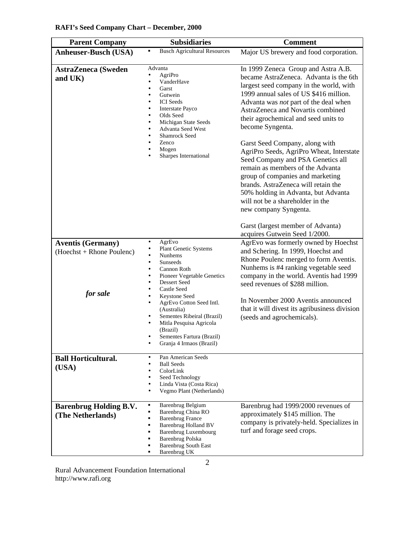| <b>Parent Company</b>                                 | <b>Subsidiaries</b>                                                                                                                                                                                                                        | <b>Comment</b>                                                                                                                                                                                                                                                                                                                                                                                                                                                                                                                                                                        |
|-------------------------------------------------------|--------------------------------------------------------------------------------------------------------------------------------------------------------------------------------------------------------------------------------------------|---------------------------------------------------------------------------------------------------------------------------------------------------------------------------------------------------------------------------------------------------------------------------------------------------------------------------------------------------------------------------------------------------------------------------------------------------------------------------------------------------------------------------------------------------------------------------------------|
| <b>Anheuser-Busch (USA)</b>                           | <b>Busch Agricultural Resources</b>                                                                                                                                                                                                        | Major US brewery and food corporation.                                                                                                                                                                                                                                                                                                                                                                                                                                                                                                                                                |
| <b>AstraZeneca</b> (Sweden<br>and UK)                 | Advanta<br>AgriPro<br>VanderHave<br>Garst<br>Gutwein<br><b>ICI</b> Seeds<br><b>Interstate Payco</b><br>Olds Seed<br>Michigan State Seeds<br>Advanta Seed West<br>Shamrock Seed<br>Zenco<br>Mogen<br>Sharpes International                  | In 1999 Zeneca Group and Astra A.B.<br>became AstraZeneca. Advanta is the 6th<br>largest seed company in the world, with<br>1999 annual sales of US \$416 million.<br>Advanta was not part of the deal when<br>AstraZeneca and Novartis combined<br>their agrochemical and seed units to<br>become Syngenta.<br>Garst Seed Company, along with<br>AgriPro Seeds, AgriPro Wheat, Interstate<br>Seed Company and PSA Genetics all<br>remain as members of the Advanta<br>group of companies and marketing<br>brands. AstraZeneca will retain the<br>50% holding in Advanta, but Advanta |
|                                                       |                                                                                                                                                                                                                                            | will not be a shareholder in the<br>new company Syngenta.<br>Garst (largest member of Advanta)<br>acquires Gutwein Seed 1/2000.                                                                                                                                                                                                                                                                                                                                                                                                                                                       |
| <b>Aventis (Germany)</b><br>(Hoechst + Rhone Poulenc) | AgrEvo<br>$\bullet$<br><b>Plant Genetic Systems</b><br>Nunhems<br><b>Sunseeds</b><br>Cannon Roth<br>Pioneer Vegetable Genetics<br>Dessert Seed                                                                                             | AgrEvo was formerly owned by Hoechst<br>and Schering. In 1999, Hoechst and<br>Rhone Poulenc merged to form Aventis.<br>Nunhems is #4 ranking vegetable seed<br>company in the world. Aventis had 1999<br>seed revenues of \$288 million.                                                                                                                                                                                                                                                                                                                                              |
| for sale                                              | Castle Seed<br>Keystone Seed<br>AgrEvo Cotton Seed Intl.<br>(Australia)<br>Sementes Ribeiral (Brazil)<br>Mitla Pesquisa Agricola<br>(Brazil)<br>Sementes Fartura (Brazil)<br>Granja 4 Irmaos (Brazil)                                      | In November 2000 Aventis announced<br>that it will divest its agribusiness division<br>(seeds and agrochemicals).                                                                                                                                                                                                                                                                                                                                                                                                                                                                     |
| <b>Ball Horticultural.</b><br>(USA)                   | Pan American Seeds<br>٠<br><b>Ball Seeds</b><br>ColorLink<br>Seed Technology<br>Linda Vista (Costa Rica)<br>Vegmo Plant (Netherlands)                                                                                                      |                                                                                                                                                                                                                                                                                                                                                                                                                                                                                                                                                                                       |
| <b>Barenbrug Holding B.V.</b><br>(The Netherlands)    | Barenbrug Belgium<br>п<br>Barenbrug China RO<br><b>Barenbrug France</b><br>٠<br>Barenbrug Holland BV<br>$\blacksquare$<br><b>Barenbrug Luxembourg</b><br>$\blacksquare$<br>Barenbrug Polska<br><b>Barenbrug South East</b><br>Barenbrug UK | Barenbrug had 1999/2000 revenues of<br>approximately \$145 million. The<br>company is privately-held. Specializes in<br>turf and forage seed crops.                                                                                                                                                                                                                                                                                                                                                                                                                                   |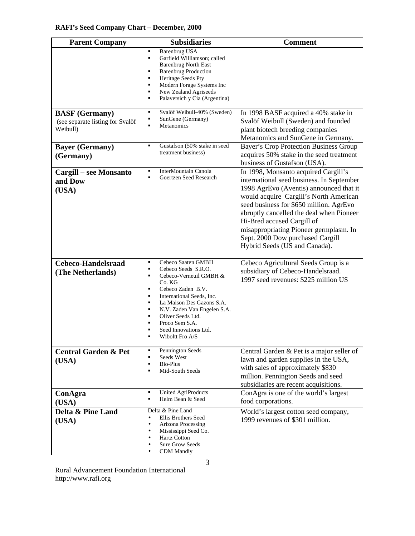| <b>Parent Company</b>                                                 | <b>Subsidiaries</b>                                                                                                                                                                                                                                                                                                    | <b>Comment</b>                                                                                                                                                                                                                                                                                                                                                                                             |
|-----------------------------------------------------------------------|------------------------------------------------------------------------------------------------------------------------------------------------------------------------------------------------------------------------------------------------------------------------------------------------------------------------|------------------------------------------------------------------------------------------------------------------------------------------------------------------------------------------------------------------------------------------------------------------------------------------------------------------------------------------------------------------------------------------------------------|
|                                                                       | <b>Barenbrug USA</b><br>Ξ<br>Garfield Williamson; called<br>Ξ<br><b>Barenbrug North East</b><br><b>Barenbrug Production</b><br>Ξ<br>Heritage Seeds Pty<br>Ξ<br>Modern Forage Systems Inc<br>п<br>New Zealand Agriseeds<br>Ξ<br>Palaversich y Cia (Argentina)<br>Ξ                                                      |                                                                                                                                                                                                                                                                                                                                                                                                            |
| <b>BASF</b> (Germany)<br>(see separate listing for Svalöf<br>Weibull) | Svalöf Weibull-40% (Sweden)<br>Ξ<br>SunGene (Germany)<br><b>Metanomics</b>                                                                                                                                                                                                                                             | In 1998 BASF acquired a 40% stake in<br>Svalöf Weibull (Sweden) and founded<br>plant biotech breeding companies<br>Metanomics and SunGene in Germany.                                                                                                                                                                                                                                                      |
| <b>Bayer</b> (Germany)<br>(Germany)                                   | Gustafson (50% stake in seed<br>Ξ<br>treatment business)                                                                                                                                                                                                                                                               | Bayer's Crop Protection Business Group<br>acquires 50% stake in the seed treatment<br>business of Gustafson (USA).                                                                                                                                                                                                                                                                                         |
| <b>Cargill – see Monsanto</b><br>and Dow<br>(USA)                     | InterMountain Canola<br>Ξ<br>Goertzen Seed Research                                                                                                                                                                                                                                                                    | In 1998, Monsanto acquired Cargill's<br>international seed business. In September<br>1998 AgrEvo (Aventis) announced that it<br>would acquire Cargill's North American<br>seed business for \$650 million. AgrEvo<br>abruptly cancelled the deal when Pioneer<br>Hi-Bred accused Cargill of<br>misappropriating Pioneer germplasm. In<br>Sept. 2000 Dow purchased Cargill<br>Hybrid Seeds (US and Canada). |
| Cebeco-Handelsraad<br>(The Netherlands)                               | Cebeco Saaten GMBH<br>Ξ<br>Cebeco Seeds S.R.O.<br>Ξ<br>Cebeco-Verneuil GMBH &<br>п<br>Co. KG<br>Cebeco Zaden B.V.<br>Ξ<br>International Seeds, Inc.<br>Ξ<br>La Maison Des Gazons S.A.<br>Ξ<br>Ξ<br>N.V. Zaden Van Engelen S.A.<br>Oliver Seeds Ltd.<br>п<br>Proco Sem S.A.<br>Seed Innovations Ltd.<br>Wiboltt Fro A/S | Cebeco Agricultural Seeds Group is a<br>subsidiary of Cebeco-Handelsraad.<br>1997 seed revenues: \$225 million US                                                                                                                                                                                                                                                                                          |
| <b>Central Garden &amp; Pet</b><br>(USA)                              | Pennington Seeds<br>٠<br>Seeds West<br>Bio-Plus<br>Mid-South Seeds<br>п                                                                                                                                                                                                                                                | Central Garden & Pet is a major seller of<br>lawn and garden supplies in the USA,<br>with sales of approximately \$830<br>million. Pennington Seeds and seed<br>subsidiaries are recent acquisitions.                                                                                                                                                                                                      |
| ConAgra<br>(USA)                                                      | <b>United AgriProducts</b><br>٠<br>Helm Bean & Seed<br>п                                                                                                                                                                                                                                                               | ConAgra is one of the world's largest<br>food corporations.                                                                                                                                                                                                                                                                                                                                                |
| Delta & Pine Land<br>(USA)                                            | Delta & Pine Land<br>Ellis Brothers Seed<br>Arizona Processing<br>Mississippi Seed Co.<br><b>Hartz Cotton</b><br><b>Sure Grow Seeds</b><br><b>CDM</b> Mandiy                                                                                                                                                           | World's largest cotton seed company,<br>1999 revenues of \$301 million.                                                                                                                                                                                                                                                                                                                                    |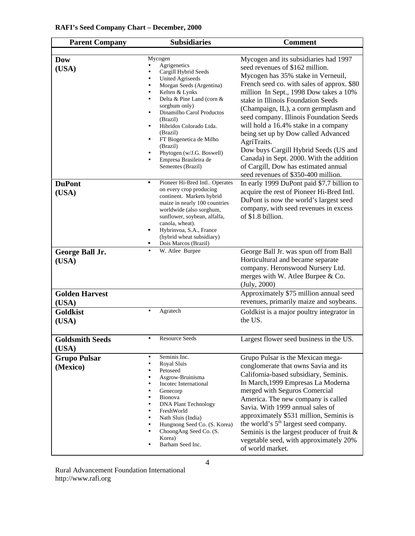| <b>Parent Company</b>           | <b>Subsidiaries</b>                                                                                                                                                                                                                                                                                                                                 | <b>Comment</b>                                                                                                                                                                                                                                                                                                                                                                                                                                                                                                      |
|---------------------------------|-----------------------------------------------------------------------------------------------------------------------------------------------------------------------------------------------------------------------------------------------------------------------------------------------------------------------------------------------------|---------------------------------------------------------------------------------------------------------------------------------------------------------------------------------------------------------------------------------------------------------------------------------------------------------------------------------------------------------------------------------------------------------------------------------------------------------------------------------------------------------------------|
| <b>Dow</b><br>(USA)             | Mycogen<br>Agrigenetics<br>Cargill Hybrid Seeds<br><b>United Agriseeds</b><br>Morgan Seeds (Argentina)<br>Kelten & Lynks<br>Delta & Pine Land (corn &<br>sorghum only)<br>Dinamilho Carol Productos<br>(Brazil)<br>Hibridos Colorado Ltda.<br>(Brazil)<br>FT Biogenetica de Milho<br>(Brazil)<br>Phytogen (w/J.G. Boswell)<br>Empresa Brasileira de | Mycogen and its subsidiaries had 1997<br>seed revenues of \$162 million.<br>Mycogen has 35% stake in Verneuil,<br>French seed co. with sales of approx. \$80<br>million In Sept., 1998 Dow takes a 10%<br>stake in Illinois Foundation Seeds<br>(Champaign, IL), a corn germplasm and<br>seed company. Illinois Foundation Seeds<br>will hold a 16.4% stake in a company<br>being set up by Dow called Advanced<br>AgriTraits.<br>Dow buys Cargill Hybrid Seeds (US and<br>Canada) in Sept. 2000. With the addition |
| <b>DuPont</b><br>(USA)          | Sementes (Brazil)<br>Pioneer Hi-Bred Intl Operates<br>٠<br>on every crop producing<br>continent. Markets hybrid<br>maize in nearly 100 countries<br>worldwide (also sorghum,<br>sunflower, soybean, alfalfa,<br>canola, wheat).<br>Hybrinvoa, S.A., France<br>٠<br>(hybrid wheat subsidiary)<br>Dois Marcos (Brazil)                                | of Cargill, Dow has estimated annual<br>seed revenues of \$350-400 million.<br>In early 1999 DuPont paid \$7.7 billion to<br>acquire the rest of Pioneer Hi-Bred Intl.<br>DuPont is now the world's largest seed<br>company, with seed revenues in excess<br>of \$1.8 billion.                                                                                                                                                                                                                                      |
| George Ball Jr.<br>(USA)        | W. Atlee Burpee                                                                                                                                                                                                                                                                                                                                     | George Ball Jr. was spun off from Ball<br>Horticultural and became separate<br>company. Heronswood Nursery Ltd.<br>merges with W. Atlee Burpee & Co.<br>(July, 2000)                                                                                                                                                                                                                                                                                                                                                |
| <b>Golden Harvest</b><br>(USA)  |                                                                                                                                                                                                                                                                                                                                                     | Approximately \$75 million annual seed<br>revenues, primarily maize and soybeans.                                                                                                                                                                                                                                                                                                                                                                                                                                   |
| <b>Goldkist</b><br>(USA)        | Agratech                                                                                                                                                                                                                                                                                                                                            | Goldkist is a major poultry integrator in<br>the US.                                                                                                                                                                                                                                                                                                                                                                                                                                                                |
| <b>Goldsmith Seeds</b><br>(USA) | <b>Resource Seeds</b>                                                                                                                                                                                                                                                                                                                               | Largest flower seed business in the US.                                                                                                                                                                                                                                                                                                                                                                                                                                                                             |
| <b>Grupo Pulsar</b><br>(Mexico) | Seminis Inc.<br>$\bullet$<br>Royal Sluis<br>Petoseed<br>Asgrow-Bruinisma<br>Incotec International<br>Genecorp<br>Bionova<br><b>DNA Plant Technology</b><br>FreshWorld<br>Nath Sluis (India)<br>Hungnong Seed Co. (S. Korea)<br>ChoongAng Seed Co. (S.<br>Korea)<br>Barham Seed Inc.                                                                 | Grupo Pulsar is the Mexican mega-<br>conglomerate that owns Savia and its<br>California-based subsidiary, Seminis.<br>In March, 1999 Empresas La Moderna<br>merged with Seguros Comercial<br>America. The new company is called<br>Savia. With 1999 annual sales of<br>approximately \$531 million, Seminis is<br>the world's 5 <sup>th</sup> largest seed company.<br>Seminis is the largest producer of fruit &<br>vegetable seed, with approximately 20%<br>of world market.                                     |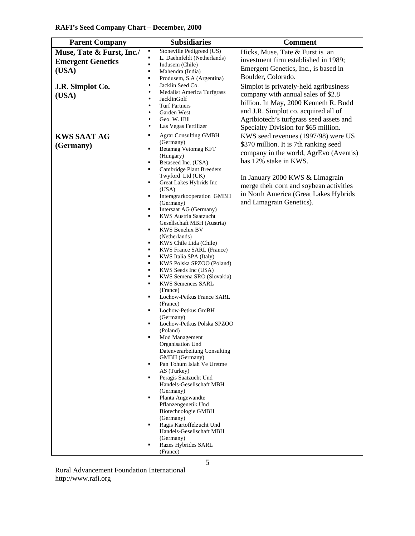| <b>RAFI's Seed Company Chart - December, 2000</b> |  |  |  |
|---------------------------------------------------|--|--|--|
|---------------------------------------------------|--|--|--|

| <b>Parent Company</b>     | <b>Subsidiaries</b>                                        | <b>Comment</b>                          |
|---------------------------|------------------------------------------------------------|-----------------------------------------|
| Muse, Tate & Furst, Inc./ | Stoneville Pedigreed (US)                                  | Hicks, Muse, Tate & Furst is an         |
| <b>Emergent Genetics</b>  | ٠<br>L. Daehnfeldt (Netherlands)                           | investment firm established in 1989;    |
| (USA)                     | $\blacksquare$<br>Indusem (Chile)<br>Mahendra (India)<br>٠ | Emergent Genetics, Inc., is based in    |
|                           | Produsem, S.A (Argentina)<br>$\blacksquare$                | Boulder, Colorado.                      |
| J.R. Simplot Co.          | Jacklin Seed Co.<br>$\bullet$                              | Simplot is privately-held agribusiness  |
|                           | <b>Medalist America Turfgrass</b><br>$\bullet$             | company with annual sales of \$2.8      |
| (USA)                     | JacklinGolf<br>٠                                           |                                         |
|                           | <b>Turf Partners</b>                                       | billion. In May, 2000 Kenneth R. Budd   |
|                           | Garden West                                                | and J.R. Simplot co. acquired all of    |
|                           | Geo. W. Hill<br>$\bullet$                                  | Agribiotech's turfgrass seed assets and |
|                           | Las Vegas Fertilizer                                       | Specialty Division for \$65 million.    |
| <b>KWS SAAT AG</b>        | <b>Agrar Consulting GMBH</b><br>٠                          | KWS seed revenues (1997/98) were US     |
| (Germany)                 | (Germany)<br>Betamag Vetomag KFT<br>٠                      | \$370 million. It is 7th ranking seed   |
|                           | (Hungary)                                                  | company in the world, AgrEvo (Aventis)  |
|                           | Betaseed Inc. (USA)<br>٠                                   | has 12% stake in KWS.                   |
|                           | <b>Cambridge Plant Breeders</b>                            |                                         |
|                           | Twyford Ltd (UK)                                           | In January 2000 KWS & Limagrain         |
|                           | Great Lakes Hybrids Inc<br>٠                               | merge their corn and soybean activities |
|                           | (USA)<br>Interagrarkooperation GMBH<br>٠                   | in North America (Great Lakes Hybrids   |
|                           | (Germany)                                                  | and Limagrain Genetics).                |
|                           | Intersaat AG (Germany)<br>٠                                |                                         |
|                           | KWS Austria Saatzucht<br>٠                                 |                                         |
|                           | Gesellschaft MBH (Austria)                                 |                                         |
|                           | <b>KWS Benelux BV</b><br>٠                                 |                                         |
|                           | (Netherlands)<br>KWS Chile Ltda (Chile)<br>٠               |                                         |
|                           | <b>KWS France SARL (France)</b><br>٠                       |                                         |
|                           | KWS Italia SPA (Italy)<br>٠                                |                                         |
|                           | KWS Polska SPZOO (Poland)<br>٠                             |                                         |
|                           | ٠<br>KWS Seeds Inc (USA)                                   |                                         |
|                           | KWS Semena SRO (Slovakia)<br>٠<br>п                        |                                         |
|                           | <b>KWS Semences SARL</b><br>(France)                       |                                         |
|                           | Lochow-Petkus France SARL<br>٠                             |                                         |
|                           | (France)                                                   |                                         |
|                           | Lochow-Petkus GmBH<br>٠                                    |                                         |
|                           | (Germany)                                                  |                                         |
|                           | Lochow-Petkus Polska SPZOO<br>٠<br>(Poland)                |                                         |
|                           | Mod Management<br>П                                        |                                         |
|                           | Organisation Und                                           |                                         |
|                           | Datenverarbeitung Consulting                               |                                         |
|                           | GMBH (Germany)                                             |                                         |
|                           | Pan Tohum Islah Ve Uretme<br>٠                             |                                         |
|                           | AS (Turkey)<br>Peragis Saatzucht Und<br>٠                  |                                         |
|                           | Handels-Gesellschaft MBH                                   |                                         |
|                           | (Germany)                                                  |                                         |
|                           | Planta Angewandte<br>٠                                     |                                         |
|                           | Pflanzengenetik Und                                        |                                         |
|                           | <b>Biotechnologie GMBH</b><br>(Germany)                    |                                         |
|                           | Ragis Kartoffelzucht Und<br>٠                              |                                         |
|                           | Handels-Gesellschaft MBH                                   |                                         |
|                           | (Germany)                                                  |                                         |
|                           | Razes Hybrides SARL                                        |                                         |
|                           | (France)                                                   |                                         |
|                           | 5                                                          |                                         |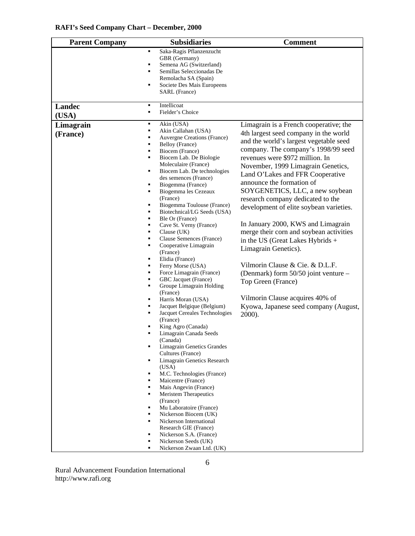| <b>Parent Company</b> | <b>Subsidiaries</b>                                                                                                                                                                                       | <b>Comment</b>                                                                                                         |
|-----------------------|-----------------------------------------------------------------------------------------------------------------------------------------------------------------------------------------------------------|------------------------------------------------------------------------------------------------------------------------|
|                       | Saka-Ragis Pflanzenzucht<br>٠<br>GBR (Germany)<br>$\blacksquare$<br>Semena AG (Switzerland)<br>Semillas Seleccionadas De<br>٠<br>Remolacha SA (Spain)<br>Societe Des Mais Europeens<br>٠<br>SARL (France) |                                                                                                                        |
| <b>Landec</b>         | Intellicoat<br>٠<br>Fielder's Choice<br>٠                                                                                                                                                                 |                                                                                                                        |
| (USA)                 |                                                                                                                                                                                                           |                                                                                                                        |
| Limagrain             | Akin (USA)<br>٠<br>Akin Callahan (USA)<br>٠                                                                                                                                                               | Limagrain is a French cooperative; the                                                                                 |
| (France)              | Auvergne Creations (France)<br>٠<br>Belloy (France)<br>٠<br>Biocem (France)<br>٠                                                                                                                          | 4th largest seed company in the world<br>and the world's largest vegetable seed<br>company. The company's 1998/99 seed |
|                       | Biocem Lab. De Biologie<br>٠<br>Moleculaire (France)<br>٠<br>Biocem Lab. De technologies                                                                                                                  | revenues were \$972 million. In<br>November, 1999 Limagrain Genetics,<br>Land O'Lakes and FFR Cooperative              |
|                       | des semences (France)<br>Biogemma (France)<br>٠<br>Biogemma les Cezeaux<br>٠                                                                                                                              | announce the formation of<br>SOYGENETICS, LLC, a new soybean                                                           |
|                       | (France)<br>Biogemma Toulouse (France)<br>٠<br>Biotechnical/LG Seeds (USA)<br>٠                                                                                                                           | research company dedicated to the<br>development of elite soybean varieties.                                           |
|                       | Ble Or (France)<br>٠<br>Cave St. Verny (France)<br>٠<br>Clause $(UK)$<br>٠<br>Clause Semences (France)<br>٠                                                                                               | In January 2000, KWS and Limagrain<br>merge their corn and soybean activities<br>in the US (Great Lakes Hybrids +      |
|                       | Cooperative Limagrain<br>٠<br>(France)<br>Elidia (France)<br>٠                                                                                                                                            | Limagrain Genetics).                                                                                                   |
|                       | Ferry Morse (USA)<br>٠<br>Force Limagrain (France)<br>٠<br>GBC Jacquet (France)<br>٠                                                                                                                      | Vilmorin Clause & Cie. & D.L.F.<br>(Denmark) form 50/50 joint venture –<br>Top Green (France)                          |
|                       | Groupe Limagrain Holding<br>٠<br>(France)<br>Harris Moran (USA)<br>٠                                                                                                                                      | Vilmorin Clause acquires 40% of                                                                                        |
|                       | Jacquet Belgique (Belgium)<br>Jacquet Cereales Technologies<br>(France)                                                                                                                                   | Kyowa, Japanese seed company (August,<br>2000).                                                                        |
|                       | King Agro (Canada)<br>Limagrain Canada Seeds<br>(Canada)                                                                                                                                                  |                                                                                                                        |
|                       | Limagrain Genetics Grandes<br>٠<br>Cultures (France)<br>Limagrain Genetics Research<br>٠                                                                                                                  |                                                                                                                        |
|                       | (USA)<br>M.C. Technologies (France)<br>٠<br>Maicentre (France)<br>٠                                                                                                                                       |                                                                                                                        |
|                       | Mais Angevin (France)<br>Meristem Therapeutics<br>٠<br>(France)                                                                                                                                           |                                                                                                                        |
|                       | Mu Laboratoire (France)<br>Nickerson Biocem (UK)<br>Nickerson International<br>٠                                                                                                                          |                                                                                                                        |
|                       | Research GIE (France)<br>Nickerson S.A. (France)<br>٠<br>Nickerson Seeds (UK)                                                                                                                             |                                                                                                                        |
|                       | Nickerson Zwaan Ltd. (UK)                                                                                                                                                                                 |                                                                                                                        |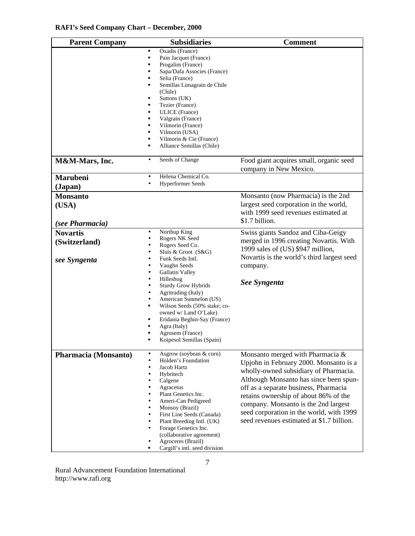| <b>Parent Company</b>                            | <b>Subsidiaries</b>                                                                                                                                                                                                                                                                                                                                                                                                                                          | <b>Comment</b>                                                                                                                                                                                                                                                                                                                                                                   |
|--------------------------------------------------|--------------------------------------------------------------------------------------------------------------------------------------------------------------------------------------------------------------------------------------------------------------------------------------------------------------------------------------------------------------------------------------------------------------------------------------------------------------|----------------------------------------------------------------------------------------------------------------------------------------------------------------------------------------------------------------------------------------------------------------------------------------------------------------------------------------------------------------------------------|
|                                                  | Oxadis (France)<br>Ξ<br>Pain Jacquet (France)<br>٠<br>Progalim (France)<br>$\blacksquare$<br>Sapa/Dafa Associes (France)<br>Selia (France)<br>п<br>Semillas Limagrain de Chile<br>$\blacksquare$<br>(Chile)<br>Suttons (UK)<br>$\blacksquare$<br>Tezier (France)<br>ULICE (France)<br>Valgrain (France)<br>$\blacksquare$<br>Vilmorin (France)<br>Vilmorin (USA)<br>Vilmorin & Cie (France)<br>$\blacksquare$<br>Alliance Semillas (Chile)<br>$\blacksquare$ |                                                                                                                                                                                                                                                                                                                                                                                  |
| M&M-Mars, Inc.                                   | Seeds of Change<br>$\bullet$                                                                                                                                                                                                                                                                                                                                                                                                                                 | Food giant acquires small, organic seed<br>company in New Mexico.                                                                                                                                                                                                                                                                                                                |
| Marubeni<br>(Japan)                              | Helena Chemical Co.<br>$\bullet$<br><b>Hyperformer Seeds</b>                                                                                                                                                                                                                                                                                                                                                                                                 |                                                                                                                                                                                                                                                                                                                                                                                  |
| <b>Monsanto</b><br>(USA)<br>(see Pharmacia)      |                                                                                                                                                                                                                                                                                                                                                                                                                                                              | Monsanto (now Pharmacia) is the 2nd<br>largest seed corporation in the world,<br>with 1999 seed revenues estimated at<br>\$1.7 billion.                                                                                                                                                                                                                                          |
| <b>Novartis</b><br>(Switzerland)<br>see Syngenta | Northup King<br>$\bullet$<br>Rogers NK Seed<br>Rogers Seed Co.<br>Sluis & Groot (S&G)<br>Funk Seeds Intl.<br>Vaughn Seeds<br>Gallatin Valley<br>Hilleshog<br><b>Sturdy Grow Hybrids</b><br>Agritrading (Italy)<br>American Sunmelon (US)<br>Wilson Seeds (50% stake; co-<br>٠<br>owned w/ Land O'Lake)<br>Eridania Beghin-Say (France)<br>Agra (Italy)<br>Agrosem (France)<br>Koipesol Semillas (Spain)                                                      | Swiss giants Sandoz and Ciba-Geigy<br>merged in 1996 creating Novartis. With<br>1999 sales of (US) \$947 million,<br>Novartis is the world's third largest seed<br>company.<br>See Syngenta                                                                                                                                                                                      |
| Pharmacia (Monsanto)                             | Asgrow (soybean & corn)<br>$\bullet$<br>Holden's Foundation<br>$\bullet$<br>Jacob Hartz<br>Hybritech<br>Calgene<br>Agracetus<br>Plant Genetics Inc.<br>Ameri-Can Pedigreed<br>Monsoy (Brazil)<br>First Line Seeds (Canada)<br>Plant Breeding Intl. (UK)<br>Forage Genetics Inc.<br>(collaborative agreement)<br>Agroceres (Brazil)<br>Cargill's intl. seed division                                                                                          | Monsanto merged with Pharmacia &<br>Upjohn in February 2000. Monsanto is a<br>wholly-owned subsidiary of Pharmacia.<br>Although Monsanto has since been spun-<br>off as a separate business, Pharmacia<br>retains ownership of about 86% of the<br>company. Monsanto is the 2nd largest<br>seed corporation in the world, with 1999<br>seed revenues estimated at \$1.7 billion. |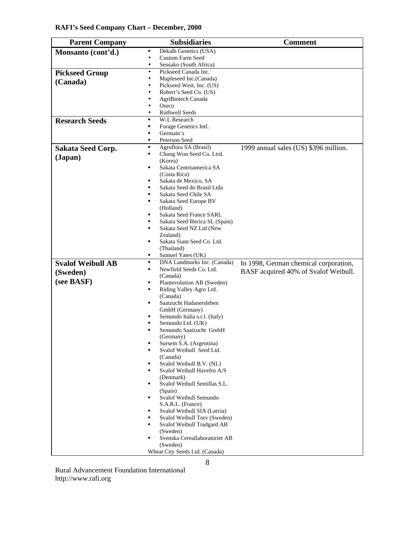| <b>RAFI's Seed Company Chart - December, 2000</b> |  |  |  |
|---------------------------------------------------|--|--|--|
|---------------------------------------------------|--|--|--|

| <b>Parent Company</b>    | <b>Subsidiaries</b>                                                           | <b>Comment</b>                        |
|--------------------------|-------------------------------------------------------------------------------|---------------------------------------|
| Monsanto (cont'd.)       | Dekalb Genetics (USA)<br>٠                                                    |                                       |
|                          | $\bullet$<br>Custom Farm Seed                                                 |                                       |
|                          | Sensako (South Africa)<br>$\bullet$                                           |                                       |
| <b>Pickseed Group</b>    | Pickseed Canada Inc.<br>$\bullet$                                             |                                       |
| (Canada)                 | Mapleseed Inc.(Canada)<br>$\bullet$<br>Pickseed West, Inc. (US)               |                                       |
|                          | Robert's Seed Co. (US)                                                        |                                       |
|                          | AgriBiotech Canada                                                            |                                       |
|                          | Oseco<br>$\bullet$                                                            |                                       |
|                          | <b>Rothwell Seeds</b>                                                         |                                       |
| <b>Research Seeds</b>    | W-L Research<br>٠                                                             |                                       |
|                          | Forage Genetics Intl.<br>٠                                                    |                                       |
|                          | Germain's<br>Ξ<br>٠                                                           |                                       |
|                          | Peterson Seed<br>Agroflora SA (Brasil)<br>g,                                  |                                       |
| <b>Sakata Seed Corp.</b> | Chung Won Seed Co. Ltrd.<br>٠                                                 | 1999 annual sales (US) \$396 million. |
| (Japan)                  | (Korea)                                                                       |                                       |
|                          | Sakata Centroamerica SA<br>П                                                  |                                       |
|                          | (Costa Rica)                                                                  |                                       |
|                          | Sakata de Mexico, SA<br>$\blacksquare$                                        |                                       |
|                          | Sakata Seed do Brasil Ltda<br>$\blacksquare$                                  |                                       |
|                          | Sakata Seed Chile SA<br>٠                                                     |                                       |
|                          | ٠<br>Sakata Seed Europe BV<br>(Holland)                                       |                                       |
|                          | Sakata Seed France SARL<br>٠                                                  |                                       |
|                          | Sakata Seed Iberica SL (Spain)<br>٠                                           |                                       |
|                          | Sakata Seed NZ Ltd (New                                                       |                                       |
|                          | Zealand)                                                                      |                                       |
|                          | Sakata Siam Seed Co. Ltd.<br>٠                                                |                                       |
|                          | (Thailand)                                                                    |                                       |
|                          | Samuel Yates (UK)<br>٠<br>٠                                                   |                                       |
| <b>Svalof Weibull AB</b> | DNA Landmarks Inc. (Canada)<br>Newfield Seeds Co. Ltd.<br>٠                   | In 1998, German chemical corporation, |
| (Sweden)                 | (Canada)                                                                      | BASF acquired 40% of Svalof Weibull.  |
| (see BASF)               | Plantevolution AB (Sweden)<br>٠                                               |                                       |
|                          | Riding Valley Agro Ltd.<br>٠                                                  |                                       |
|                          | (Canada)                                                                      |                                       |
|                          | Saatzucht Hadanersleben<br>٠                                                  |                                       |
|                          | GmbH (Germany)<br>Semundo Italia s.r.l. (Italy)<br>٠                          |                                       |
|                          | Semundo Ltd. (UK)<br>٠                                                        |                                       |
|                          | Semundo Saatzucht GmbH                                                        |                                       |
|                          | (Germany)                                                                     |                                       |
|                          | Sursem S.A. (Argentina)<br>٠                                                  |                                       |
|                          | Svalof Weibull Seed Ltd.<br>$\blacksquare$                                    |                                       |
|                          | (Canada)<br>Svalof Weibull B.V. (NL)<br>٠                                     |                                       |
|                          | Svalof Weibull Havefro A/S<br>$\blacksquare$                                  |                                       |
|                          | (Denmark)                                                                     |                                       |
|                          | Svalof Weibull Semillas S.L.<br>٠                                             |                                       |
|                          | (Spain)                                                                       |                                       |
|                          | Svalof Weibull Semundo<br>٠                                                   |                                       |
|                          | S.A.R.L. (France)                                                             |                                       |
|                          | Svalof Weibull SIA (Latvia)<br>$\blacksquare$<br>Svalof Weibull Torv (Sweden) |                                       |
|                          | Svalof Weibull Tradgard AB<br>٠                                               |                                       |
|                          | (Sweden)                                                                      |                                       |
|                          | Svenska Cereallaboratoriet AB<br>٠                                            |                                       |
|                          | (Sweden)                                                                      |                                       |
|                          | Wheat City Seeds Ltd. (Canada)                                                |                                       |